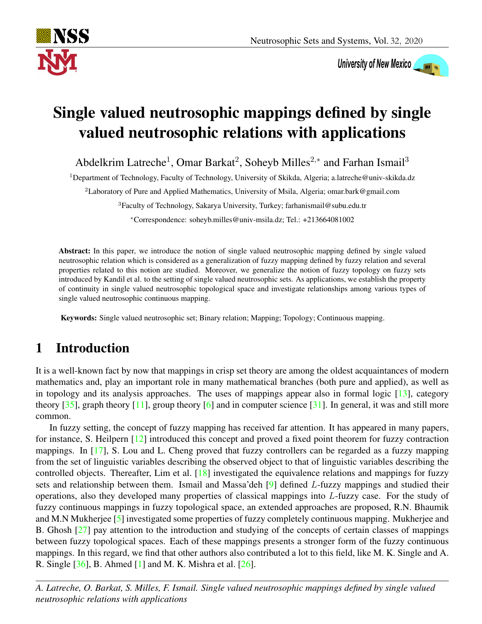

University of New Mexico

# Single valued neutrosophic mappings defined by single valued neutrosophic relations with applications

Abdelkrim Latreche<sup>1</sup>, Omar Barkat<sup>2</sup>, Soheyb Milles<sup>2,\*</sup> and Farhan Ismail<sup>3</sup>

<sup>1</sup>Department of Technology, Faculty of Technology, University of Skikda, Algeria; a.latreche@univ-skikda.dz

<sup>2</sup>Laboratory of Pure and Applied Mathematics, University of Msila, Algeria; omar.bark@gmail.com

<sup>3</sup>Faculty of Technology, Sakarya University, Turkey; farhanismail@subu.edu.tr

<sup>∗</sup>Correspondence: soheyb.milles@univ-msila.dz; Tel.: +213664081002

Abstract: In this paper, we introduce the notion of single valued neutrosophic mapping defined by single valued neutrosophic relation which is considered as a generalization of fuzzy mapping defined by fuzzy relation and several properties related to this notion are studied. Moreover, we generalize the notion of fuzzy topology on fuzzy sets introduced by Kandil et al. to the setting of single valued neutrosophic sets. As applications, we establish the property of continuity in single valued neutrosophic topological space and investigate relationships among various types of single valued neutrosophic continuous mapping.

Keywords: Single valued neutrosophic set; Binary relation; Mapping; Topology; Continuous mapping.

# 1 Introduction

It is a well-known fact by now that mappings in crisp set theory are among the oldest acquaintances of modern mathematics and, play an important role in many mathematical branches (both pure and applied), as well as in topology and its analysis approaches. The uses of mappings appear also in formal logic [\[13\]](#page-16-0), category theory  $[35]$ , graph theory  $[11]$ , group theory  $[6]$  and in computer science  $[31]$ . In general, it was and still more common.

In fuzzy setting, the concept of fuzzy mapping has received far attention. It has appeared in many papers, for instance, S. Heilpern [\[12\]](#page-15-2) introduced this concept and proved a fixed point theorem for fuzzy contraction mappings. In [\[17\]](#page-16-2), S. Lou and L. Cheng proved that fuzzy controllers can be regarded as a fuzzy mapping from the set of linguistic variables describing the observed object to that of linguistic variables describing the controlled objects. Thereafter, Lim et al. [\[18\]](#page-16-3) investigated the equivalence relations and mappings for fuzzy sets and relationship between them. Ismail and Massa'deh [\[9\]](#page-15-3) defined L-fuzzy mappings and studied their operations, also they developed many properties of classical mappings into L-fuzzy case. For the study of fuzzy continuous mappings in fuzzy topological space, an extended approaches are proposed, R.N. Bhaumik and M.N Mukherjee [\[5\]](#page-15-4) investigated some properties of fuzzy completely continuous mapping. Mukherjee and B. Ghosh  $\left[27\right]$  pay attention to the introduction and studying of the concepts of certain classes of mappings between fuzzy topological spaces. Each of these mappings presents a stronger form of the fuzzy continuous mappings. In this regard, we find that other authors also contributed a lot to this field, like M. K. Single and A. R. Single [\[36\]](#page-17-1), B. Ahmed [\[1\]](#page-15-5) and M. K. Mishra et al. [\[26\]](#page-16-5).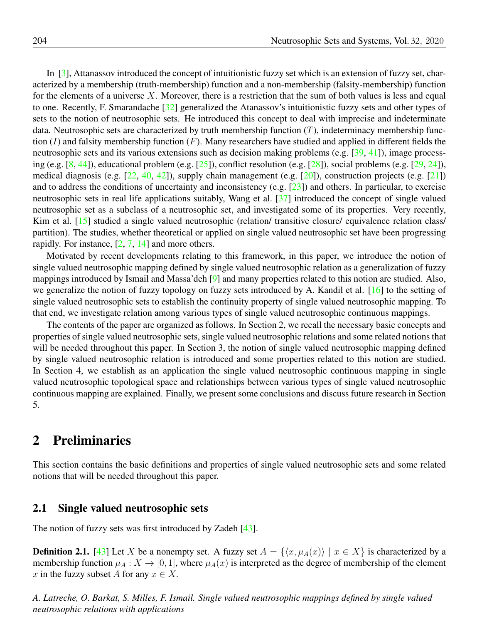In [\[3\]](#page-15-6), Attanassov introduced the concept of intuitionistic fuzzy set which is an extension of fuzzy set, characterized by a membership (truth-membership) function and a non-membership (falsity-membership) function for the elements of a universe  $X$ . Moreover, there is a restriction that the sum of both values is less and equal to one. Recently, F. Smarandache [\[32\]](#page-16-6) generalized the Atanassov's intuitionistic fuzzy sets and other types of sets to the notion of neutrosophic sets. He introduced this concept to deal with imprecise and indeterminate data. Neutrosophic sets are characterized by truth membership function  $(T)$ , indeterminacy membership function  $(I)$  and falsity membership function  $(F)$ . Many researchers have studied and applied in different fields the neutrosophic sets and its various extensions such as decision making problems (e.g. [\[39,](#page-17-2) [41\]](#page-17-3)), image processing (e.g. [\[8,](#page-15-7) [44\]](#page-17-4)), educational problem (e.g. [\[25\]](#page-16-7)), conflict resolution (e.g. [\[28\]](#page-16-8)), social problems (e.g. [\[29,](#page-16-9) [24\]](#page-16-10)), medical diagnosis (e.g.  $[22, 40, 42]$  $[22, 40, 42]$  $[22, 40, 42]$  $[22, 40, 42]$  $[22, 40, 42]$ ), supply chain management (e.g.  $[20]$ ), construction projects (e.g.  $[21]$ ) and to address the conditions of uncertainty and inconsistency (e.g.  $[23]$ ) and others. In particular, to exercise neutrosophic sets in real life applications suitably, Wang et al. [\[37\]](#page-17-7) introduced the concept of single valued neutrosophic set as a subclass of a neutrosophic set, and investigated some of its properties. Very recently, Kim et al. [\[15\]](#page-16-15) studied a single valued neutrosophic (relation/ transitive closure/ equivalence relation class/ partition). The studies, whether theoretical or applied on single valued neutrosophic set have been progressing rapidly. For instance,  $[2, 7, 14]$  $[2, 7, 14]$  $[2, 7, 14]$  $[2, 7, 14]$  $[2, 7, 14]$  and more others.

Motivated by recent developments relating to this framework, in this paper, we introduce the notion of single valued neutrosophic mapping defined by single valued neutrosophic relation as a generalization of fuzzy mappings introduced by Ismail and Massa'deh [\[9\]](#page-15-3) and many properties related to this notion are studied. Also, we generalize the notion of fuzzy topology on fuzzy sets introduced by A. Kandil et al. [\[16\]](#page-16-17) to the setting of single valued neutrosophic sets to establish the continuity property of single valued neutrosophic mapping. To that end, we investigate relation among various types of single valued neutrosophic continuous mappings.

The contents of the paper are organized as follows. In Section 2, we recall the necessary basic concepts and properties of single valued neutrosophic sets, single valued neutrosophic relations and some related notions that will be needed throughout this paper. In Section 3, the notion of single valued neutrosophic mapping defined by single valued neutrosophic relation is introduced and some properties related to this notion are studied. In Section 4, we establish as an application the single valued neutrosophic continuous mapping in single valued neutrosophic topological space and relationships between various types of single valued neutrosophic continuous mapping are explained. Finally, we present some conclusions and discuss future research in Section 5.

## 2 Preliminaries

This section contains the basic definitions and properties of single valued neutrosophic sets and some related notions that will be needed throughout this paper.

### 2.1 Single valued neutrosophic sets

The notion of fuzzy sets was first introduced by Zadeh [\[43\]](#page-17-8).

**Definition 2.1.** [\[43\]](#page-17-8) Let X be a nonempty set. A fuzzy set  $A = \{ \langle x, \mu_A(x) \rangle | x \in X \}$  is characterized by a membership function  $\mu_A : X \to [0, 1]$ , where  $\mu_A(x)$  is interpreted as the degree of membership of the element x in the fuzzy subset A for any  $x \in X$ .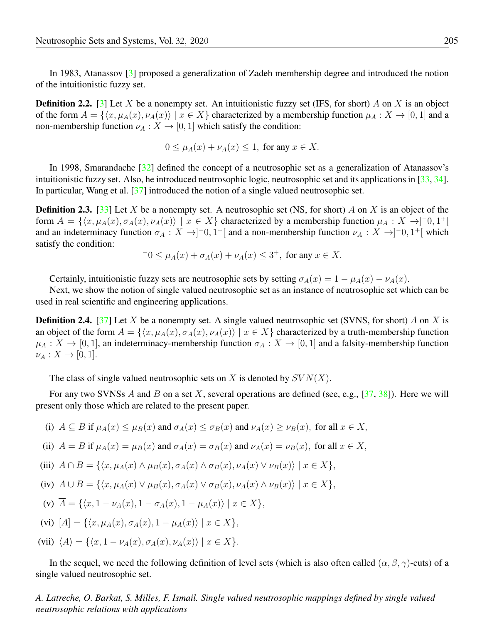In 1983, Atanassov [\[3\]](#page-15-6) proposed a generalization of Zadeh membership degree and introduced the notion of the intuitionistic fuzzy set.

**Definition 2.2.** [\[3\]](#page-15-6) Let X be a nonempty set. An intuitionistic fuzzy set (IFS, for short) A on X is an object of the form  $A = \{x, \mu_A(x), \nu_A(x)\}\mid x \in X\}$  characterized by a membership function  $\mu_A : X \to [0, 1]$  and a non-membership function  $\nu_A : X \to [0, 1]$  which satisfy the condition:

$$
0 \le \mu_A(x) + \nu_A(x) \le 1, \text{ for any } x \in X.
$$

In 1998, Smarandache [\[32\]](#page-16-6) defined the concept of a neutrosophic set as a generalization of Atanassov's intuitionistic fuzzy set. Also, he introduced neutrosophic logic, neutrosophic set and its applications in [\[33,](#page-17-9) [34\]](#page-17-10). In particular, Wang et al. [\[37\]](#page-17-7) introduced the notion of a single valued neutrosophic set.

**Definition 2.3.** [\[33\]](#page-17-9) Let X be a nonempty set. A neutrosophic set (NS, for short) A on X is an object of the form  $A = \{\langle x, \mu_A(x), \sigma_A(x), \nu_A(x)\rangle \mid x \in X\}$  characterized by a membership function  $\mu_A : X \to ]-0,1^+]$ and an indeterminacy function  $\sigma_A : X \to ]0,1^+[$  and a non-membership function  $\nu_A : X \to ]0,1^+[$  which satisfy the condition:

$$
-0 \le \mu_A(x) + \sigma_A(x) + \nu_A(x) \le 3^+, \text{ for any } x \in X.
$$

Certainly, intuitionistic fuzzy sets are neutrosophic sets by setting  $\sigma_A(x) = 1 - \mu_A(x) - \nu_A(x)$ .

Next, we show the notion of single valued neutrosophic set as an instance of neutrosophic set which can be used in real scientific and engineering applications.

**Definition 2.4.** [\[37\]](#page-17-7) Let X be a nonempty set. A single valued neutrosophic set (SVNS, for short) A on X is an object of the form  $A = \{ \langle x, \mu_A(x), \sigma_A(x), \nu_A(x) \rangle | x \in X \}$  characterized by a truth-membership function  $\mu_A: X \to [0, 1]$ , an indeterminacy-membership function  $\sigma_A: X \to [0, 1]$  and a falsity-membership function  $\nu_A: X \to [0,1].$ 

The class of single valued neutrosophic sets on X is denoted by  $SVN(X)$ .

For any two SVNSs A and B on a set X, several operations are defined (see, e.g., [\[37,](#page-17-7) [38\]](#page-17-11)). Here we will present only those which are related to the present paper.

- (i)  $A \subseteq B$  if  $\mu_A(x) \leq \mu_B(x)$  and  $\sigma_A(x) \leq \sigma_B(x)$  and  $\nu_A(x) \geq \nu_B(x)$ , for all  $x \in X$ ,
- (ii)  $A = B$  if  $\mu_A(x) = \mu_B(x)$  and  $\sigma_A(x) = \sigma_B(x)$  and  $\nu_A(x) = \nu_B(x)$ , for all  $x \in X$ ,

(iii) 
$$
A \cap B = \{ \langle x, \mu_A(x) \land \mu_B(x), \sigma_A(x) \land \sigma_B(x), \nu_A(x) \lor \nu_B(x) \rangle \mid x \in X \},
$$

(iv) 
$$
A \cup B = \{ \langle x, \mu_A(x) \vee \mu_B(x), \sigma_A(x) \vee \sigma_B(x), \nu_A(x) \wedge \nu_B(x) \rangle \mid x \in X \},\
$$

(v) 
$$
\overline{A} = \{ \langle x, 1 - \nu_A(x), 1 - \sigma_A(x), 1 - \mu_A(x) \rangle \mid x \in X \},\
$$

(vi) 
$$
[A] = \{ \langle x, \mu_A(x), \sigma_A(x), 1 - \mu_A(x) \rangle \mid x \in X \},\
$$

(vii) 
$$
\langle A \rangle = \{ \langle x, 1 - \nu_A(x), \sigma_A(x), \nu_A(x) \rangle \mid x \in X \}.
$$

In the sequel, we need the following definition of level sets (which is also often called  $(\alpha, \beta, \gamma)$ -cuts) of a single valued neutrosophic set.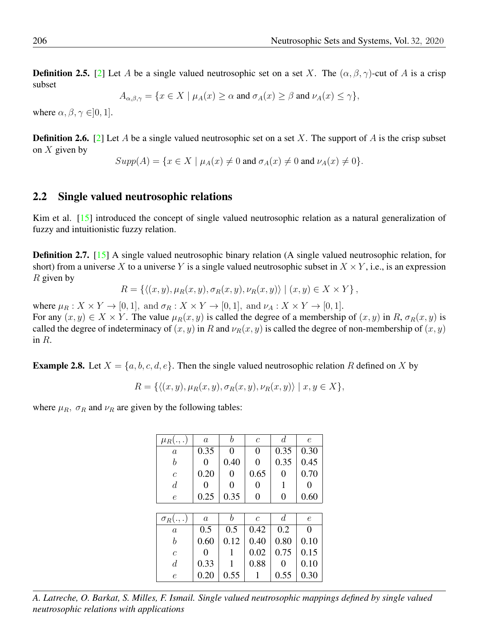**Definition 2.5.** [\[2\]](#page-15-8) Let A be a single valued neutrosophic set on a set X. The  $(\alpha, \beta, \gamma)$ -cut of A is a crisp subset

$$
A_{\alpha,\beta,\gamma} = \{ x \in X \mid \mu_A(x) \ge \alpha \text{ and } \sigma_A(x) \ge \beta \text{ and } \nu_A(x) \le \gamma \},
$$

where  $\alpha, \beta, \gamma \in ]0, 1]$ .

**Definition 2.6.** [\[2\]](#page-15-8) Let A be a single valued neutrosophic set on a set X. The support of A is the crisp subset on  $X$  given by

$$
Supp(A) = \{x \in X \mid \mu_A(x) \neq 0 \text{ and } \sigma_A(x) \neq 0 \text{ and } \nu_A(x) \neq 0\}.
$$

### 2.2 Single valued neutrosophic relations

Kim et al. [\[15\]](#page-16-15) introduced the concept of single valued neutrosophic relation as a natural generalization of fuzzy and intuitionistic fuzzy relation.

Definition 2.7. [\[15\]](#page-16-15) A single valued neutrosophic binary relation (A single valued neutrosophic relation, for short) from a universe X to a universe Y is a single valued neutrosophic subset in  $X \times Y$ , i.e., is an expression  $R$  given by

$$
R = \{ \langle (x, y), \mu_R(x, y), \sigma_R(x, y), \nu_R(x, y) \rangle \mid (x, y) \in X \times Y \},\
$$

where  $\mu_R : X \times Y \to [0,1]$ , and  $\sigma_R : X \times Y \to [0,1]$ , and  $\nu_A : X \times Y \to [0,1]$ . For any  $(x, y) \in X \times Y$ . The value  $\mu_R(x, y)$  is called the degree of a membership of  $(x, y)$  in R,  $\sigma_R(x, y)$  is called the degree of indeterminacy of  $(x, y)$  in R and  $\nu_R(x, y)$  is called the degree of non-membership of  $(x, y)$ in R.

**Example 2.8.** Let  $X = \{a, b, c, d, e\}$ . Then the single valued neutrosophic relation R defined on X by

$$
R = \{ \langle (x, y), \mu_R(x, y), \sigma_R(x, y), \nu_R(x, y) \rangle \mid x, y \in X \},\
$$

where  $\mu_R$ ,  $\sigma_R$  and  $\nu_R$  are given by the following tables:

| $\mu_R(.,.)$      | $\alpha$          | b              | $\mathcal{C}$  | $\overline{d}$    | $\epsilon$ |  |  |
|-------------------|-------------------|----------------|----------------|-------------------|------------|--|--|
| $\boldsymbol{a}$  | 0.35              | $\overline{0}$ | $\overline{0}$ | 0.35              | 0.30       |  |  |
| b                 | 0                 | 0.40           | 0              | 0.35              | 0.45       |  |  |
| $\overline{c}$    | 0.20              | 0              | 0.65           | 0                 | 0.70       |  |  |
| $\overline{d}$    | $\mathbf{\Omega}$ | 0              | 0              | 1                 | 0          |  |  |
| $\epsilon$        | 0.25              | 0.35           | $\overline{0}$ | 0                 | 0.60       |  |  |
|                   |                   |                |                |                   |            |  |  |
| $\sigma_R(.,.)$   | $\overline{a}$    | b              | $\overline{c}$ | $\overline{d}$    | $\epsilon$ |  |  |
| $\overline{a}$    | 0.5               | 0.5            | 0.42           | 0.2               | 0          |  |  |
| b                 | 0.60              | 0.12           | 0.40           | 0.80              | 0.10       |  |  |
| $\mathcal{C}_{0}$ | 0                 | 1              | 0.02           | 0.75              | 0.15       |  |  |
| $\overline{d}$    | 0.33              | 1              | 0.88           | $\mathbf{\Omega}$ | 0.10       |  |  |
| $\epsilon$        | 0.20              | 0.55           |                | 0.55              | 0.30       |  |  |

*A. Latreche, O. Barkat, S. Milles, F. Ismail. Single valued neutrosophic mappings defined by single valued neutrosophic relations with applications*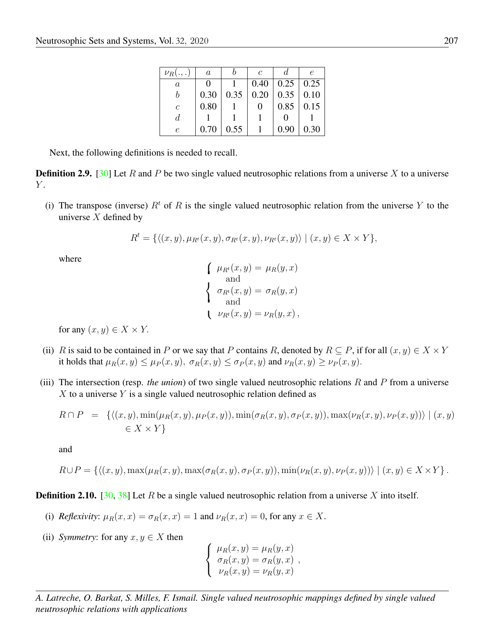| $\nu_R(.,.)$          | $\it a$           |      | $\mathcal C$ |                   | e    |
|-----------------------|-------------------|------|--------------|-------------------|------|
| $\it a$               | $\mathbf{\Omega}$ |      | 0.40         | $0.25 \, \, 0.25$ |      |
|                       | 0.30              | 0.35 | 0.20         | 0.35              | 0.10 |
| $\mathcal{C}_{0}^{2}$ | 0.80              |      |              | 0.85              | 0.15 |
| đ.                    |                   |      |              |                   |      |
| e                     | 0.70              | 0.55 |              |                   | 0.30 |

Next, the following definitions is needed to recall.

**Definition 2.9.** [\[30\]](#page-16-18) Let R and P be two single valued neutrosophic relations from a universe X to a universe  $Y$ .

(i) The transpose (inverse)  $R<sup>t</sup>$  of R is the single valued neutrosophic relation from the universe Y to the universe  $X$  defined by

$$
R^t = \{ \langle (x, y), \mu_{R^t}(x, y), \sigma_{R^t}(x, y), \nu_{R^t}(x, y) \rangle \mid (x, y) \in X \times Y \},\
$$

where

$$
\begin{cases}\n\mu_{R^t}(x, y) = \mu_R(y, x) \\
\text{and} \\
\sigma_{R^t}(x, y) = \sigma_R(y, x) \\
\text{and} \\
\sigma_{R^t}(x, y) = \nu_R(y, x)\n\end{cases}
$$

for any  $(x, y) \in X \times Y$ .

- (ii) R is said to be contained in P or we say that P contains R, denoted by  $R \subseteq P$ , if for all  $(x, y) \in X \times Y$ it holds that  $\mu_R(x, y) \leq \mu_P(x, y)$ ,  $\sigma_R(x, y) \leq \sigma_P(x, y)$  and  $\nu_R(x, y) \geq \nu_P(x, y)$ .
- (iii) The intersection (resp. *the union*) of two single valued neutrosophic relations R and P from a universe  $X$  to a universe Y is a single valued neutrosophic relation defined as

$$
R \cap P = \left\{ \langle (x, y), \min(\mu_R(x, y), \mu_P(x, y)), \min(\sigma_R(x, y), \sigma_P(x, y)), \max(\nu_R(x, y), \nu_P(x, y)) \rangle \mid (x, y) \in X \times Y \right\}
$$

and

$$
R \cup P = \{ \langle (x, y), \max(\mu_R(x, y), \max(\sigma_R(x, y), \sigma_P(x, y)), \min(\nu_R(x, y), \nu_P(x, y)) \rangle \mid (x, y) \in X \times Y \}.
$$

**Definition 2.10.** [\[30,](#page-16-18) [38\]](#page-17-11) Let R be a single valued neutrosophic relation from a universe X into itself.

- (i) *Reflexivity*:  $\mu_R(x, x) = \sigma_R(x, x) = 1$  and  $\nu_R(x, x) = 0$ , for any  $x \in X$ .
- (ii) *Symmetry*: for any  $x, y \in X$  then

 $\sqrt{ }$  $\int$  $\mathcal{L}$  $\mu_R(x, y) = \mu_R(y, x)$  $\sigma_R(x, y) = \sigma_R(y, x)$  $\nu_R(x, y) = \nu_R(y, x)$ ,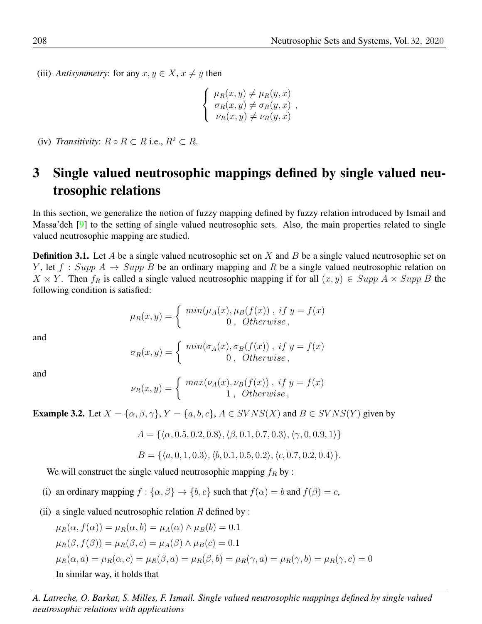(iii) *Antisymmetry*: for any  $x, y \in X$ ,  $x \neq y$  then

$$
\begin{cases} \mu_R(x, y) \neq \mu_R(y, x) \\ \sigma_R(x, y) \neq \sigma_R(y, x) \\ \nu_R(x, y) \neq \nu_R(y, x) \end{cases}
$$

(iv) *Transitivity*:  $R \circ R \subset R$  i.e.,  $R^2 \subset R$ .

# 3 Single valued neutrosophic mappings defined by single valued neutrosophic relations

In this section, we generalize the notion of fuzzy mapping defined by fuzzy relation introduced by Ismail and Massa'deh [\[9\]](#page-15-3) to the setting of single valued neutrosophic sets. Also, the main properties related to single valued neutrosophic mapping are studied.

**Definition 3.1.** Let A be a single valued neutrosophic set on X and B be a single valued neutrosophic set on Y, let  $f : Supp A \rightarrow Supp B$  be an ordinary mapping and R be a single valued neutrosophic relation on  $X \times Y$ . Then  $f_R$  is called a single valued neutrosophic mapping if for all  $(x, y) \in Supp A \times Supp B$  the following condition is satisfied:

$$
\mu_R(x,y) = \begin{cases} min(\mu_A(x), \mu_B(f(x)), \text{ if } y = f(x) \\ 0, \text{ Otherwise,} \end{cases}
$$

and

$$
\sigma_R(x,y) = \begin{cases} min(\sigma_A(x), \sigma_B(f(x)), \text{ if } y = f(x) \\ 0, \text{ Otherwise,} \end{cases}
$$

and

$$
\nu_R(x,y) = \begin{cases} max(\nu_A(x), \nu_B(f(x)), \text{ if } y = f(x) \\ 1, \text{ Otherwise,} \end{cases}
$$

**Example 3.2.** Let  $X = \{\alpha, \beta, \gamma\}$ ,  $Y = \{a, b, c\}$ ,  $A \in SVNS(X)$  and  $B \in SVNS(Y)$  given by

$$
A = \{ \langle \alpha, 0.5, 0.2, 0.8 \rangle, \langle \beta, 0.1, 0.7, 0.3 \rangle, \langle \gamma, 0, 0.9, 1 \rangle \}
$$

$$
B = \{ \langle a, 0, 1, 0.3 \rangle, \langle b, 0.1, 0.5, 0.2 \rangle, \langle c, 0.7, 0.2, 0.4 \rangle \}.
$$

We will construct the single valued neutrosophic mapping  $f_R$  by :

- (i) an ordinary mapping  $f : {\alpha, \beta} \to {b, c}$  such that  $f(\alpha) = b$  and  $f(\beta) = c$ ,
- (ii) a single valued neutrosophic relation  $R$  defined by :

$$
\mu_R(\alpha, f(\alpha)) = \mu_R(\alpha, b) = \mu_A(\alpha) \land \mu_B(b) = 0.1
$$
  
\n
$$
\mu_R(\beta, f(\beta)) = \mu_R(\beta, c) = \mu_A(\beta) \land \mu_B(c) = 0.1
$$
  
\n
$$
\mu_R(\alpha, a) = \mu_R(\alpha, c) = \mu_R(\beta, a) = \mu_R(\beta, b) = \mu_R(\gamma, a) = \mu_R(\gamma, b) = \mu_R(\gamma, c) = 0
$$
  
\nIn similar way, it holds that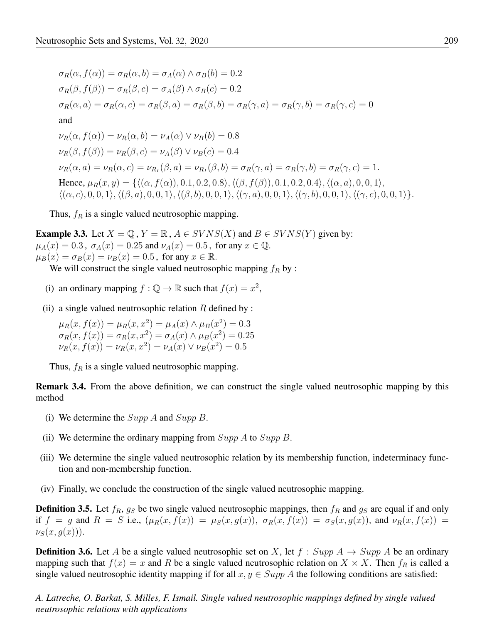$$
\sigma_R(\alpha, f(\alpha)) = \sigma_R(\alpha, b) = \sigma_A(\alpha) \land \sigma_B(b) = 0.2
$$
  
\n
$$
\sigma_R(\beta, f(\beta)) = \sigma_R(\beta, c) = \sigma_A(\beta) \land \sigma_B(c) = 0.2
$$
  
\n
$$
\sigma_R(\alpha, a) = \sigma_R(\alpha, c) = \sigma_R(\beta, a) = \sigma_R(\beta, b) = \sigma_R(\gamma, a) = \sigma_R(\gamma, b) = \sigma_R(\gamma, c) = 0
$$
  
\nand  
\n
$$
\nu_R(\alpha, f(\alpha)) = \nu_R(\alpha, b) = \nu_A(\alpha) \lor \nu_B(b) = 0.8
$$
  
\n
$$
\nu_R(\beta, f(\beta)) = \nu_R(\beta, c) = \nu_A(\beta) \lor \nu_B(c) = 0.4
$$
  
\n
$$
\nu_R(\alpha, a) = \nu_R(\alpha, c) = \nu_{R_I}(\beta, a) = \nu_{R_I}(\beta, b) = \sigma_R(\gamma, a) = \sigma_R(\gamma, b) = \sigma_R(\gamma, c) = 1.
$$
  
\nHence,  $\mu_R(x, y) = \{ \langle (\alpha, f(\alpha)), 0.1, 0.2, 0.8 \rangle, \langle (\beta, f(\beta)), 0.1, 0.2, 0.4 \rangle, \langle (\alpha, a), 0, 0, 1 \rangle, \langle (\alpha, c), 0, 0, 1 \rangle, \langle (\beta, a), 0, 0, 1 \rangle, \langle (\beta, b), 0, 0, 1 \rangle, \langle (\gamma, a), 0, 0, 1 \rangle, \langle (\gamma, c), 0, 0, 1 \rangle \}.$ 

Thus,  $f_R$  is a single valued neutrosophic mapping.

**Example 3.3.** Let  $X = \mathbb{Q}$ ,  $Y = \mathbb{R}$ ,  $A \in SVNS(X)$  and  $B \in SVNS(Y)$  given by:  $\mu_A(x) = 0.3$ ,  $\sigma_A(x) = 0.25$  and  $\nu_A(x) = 0.5$ , for any  $x \in \mathbb{Q}$ .  $\mu_B(x) = \sigma_B(x) = \nu_B(x) = 0.5$ , for any  $x \in \mathbb{R}$ .

We will construct the single valued neutrosophic mapping  $f_R$  by :

- (i) an ordinary mapping  $f: \mathbb{Q} \to \mathbb{R}$  such that  $f(x) = x^2$ ,
- (ii) a single valued neutrosophic relation  $R$  defined by :

$$
\mu_R(x, f(x)) = \mu_R(x, x^2) = \mu_A(x) \land \mu_B(x^2) = 0.3
$$
  
\n
$$
\sigma_R(x, f(x)) = \sigma_R(x, x^2) = \sigma_A(x) \land \mu_B(x^2) = 0.25
$$
  
\n
$$
\nu_R(x, f(x)) = \nu_R(x, x^2) = \nu_A(x) \lor \nu_B(x^2) = 0.5
$$

Thus,  $f_R$  is a single valued neutrosophic mapping.

Remark 3.4. From the above definition, we can construct the single valued neutrosophic mapping by this method

- (i) We determine the  $Supp A$  and  $Supp B$ .
- (ii) We determine the ordinary mapping from  $Supp A$  to  $Supp B$ .
- (iii) We determine the single valued neutrosophic relation by its membership function, indeterminacy function and non-membership function.
- (iv) Finally, we conclude the construction of the single valued neutrosophic mapping.

**Definition 3.5.** Let  $f_R$ ,  $g_S$  be two single valued neutrosophic mappings, then  $f_R$  and  $g_S$  are equal if and only if  $f = g$  and  $R = S$  i.e.,  $(\mu_R(x, f(x)) = \mu_S(x, g(x)), \sigma_R(x, f(x)) = \sigma_S(x, g(x)),$  and  $\nu_R(x, f(x)) =$  $\nu_S(x,g(x))$ ).

**Definition 3.6.** Let A be a single valued neutrosophic set on X, let  $f : Supp A \rightarrow Supp A$  be an ordinary mapping such that  $f(x) = x$  and R be a single valued neutrosophic relation on  $X \times X$ . Then  $f_R$  is called a single valued neutrosophic identity mapping if for all  $x, y \in Supp A$  the following conditions are satisfied: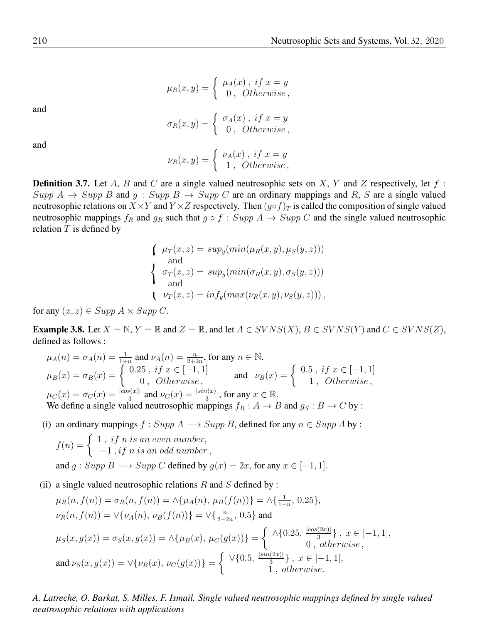$$
\mu_R(x,y) = \begin{cases} \mu_A(x), \; if \; x=y \\ \; 0, \; Otherwise, \end{cases}
$$

and

$$
\sigma_R(x,y) = \begin{cases} \sigma_A(x), \text{ if } x = y \\ 0, \text{ Otherwise,} \end{cases}
$$

and

$$
\nu_R(x,y) = \begin{cases} \nu_A(x), \; if \; x=y \\ 1, \; Otherwise, \end{cases}
$$

**Definition 3.7.** Let A, B and C are a single valued neutrosophic sets on X, Y and Z respectively, let  $f$ : Supp  $A \rightarrow Supp B$  and  $g : Supp B \rightarrow Supp C$  are an ordinary mappings and R, S are a single valued neutrosophic relations on  $X \times Y$  and  $Y \times Z$  respectively. Then  $(g \circ f)_T$  is called the composition of single valued neutrosophic mappings  $f_R$  and  $g_R$  such that  $g \circ f : Supp A \rightarrow Supp C$  and the single valued neutrosophic relation  $T$  is defined by

$$
\begin{cases}\n\mu_T(x, z) = \sup_y(\min(\mu_R(x, y), \mu_S(y, z))) \\
\text{and} \\
\sigma_T(x, z) = \sup_y(\min(\sigma_R(x, y), \sigma_S(y, z))) \\
\text{and} \\
\mu_T(x, z) = \inf_y(\max(\nu_R(x, y), \nu_S(y, z)))\n\end{cases}
$$

for any  $(x, z) \in Supp A \times Supp C$ .

**Example 3.8.** Let  $X = \mathbb{N}, Y = \mathbb{R}$  and  $Z = \mathbb{R}$ , and let  $A \in SVNS(X)$ ,  $B \in SVNS(Y)$  and  $C \in SVNS(Z)$ , defined as follows :

$$
\mu_A(n) = \sigma_A(n) = \frac{1}{1+n} \text{ and } \nu_A(n) = \frac{n}{2+2n}, \text{ for any } n \in \mathbb{N}.
$$
  
\n
$$
\mu_B(x) = \sigma_B(x) = \begin{cases}\n0.25, & \text{if } x \in [-1, 1] \\
0, & \text{Otherwise}\n\end{cases}
$$
\nand\n
$$
\nu_B(x) = \begin{cases}\n0.5, & \text{if } x \in [-1, 1] \\
1, & \text{Otherwise}\n\end{cases}
$$
  
\n
$$
\mu_C(x) = \sigma_C(x) = \frac{|\cos(x)|}{3} \text{ and } \nu_C(x) = \frac{|\sin(x)|}{3}, \text{ for any } x \in \mathbb{R}.
$$
  
\nWe define a single valued neutrosophic mappings  $f_R : A \to B$  and  $g_S : B \to C$  by :

(i) an ordinary mappings  $f : Supp A \longrightarrow Supp B$ , defined for any  $n \in Supp A$  by :

$$
f(n) = \begin{cases} 1, & if n is an even number, \\ -1, & if n is an odd number, \end{cases}
$$
  
and  $g : Supp B \longrightarrow Supp C$  defined by  $g(x) = 2x$ , for any  $x \in [-1, 1]$ .

(ii) a single valued neutrosophic relations  $R$  and  $S$  defined by :

$$
\mu_R(n, f(n)) = \sigma_R(n, f(n)) = \wedge \{\mu_A(n), \mu_B(f(n))\} = \wedge \{\frac{1}{1+n}, 0.25\},
$$
  
\n
$$
\nu_R(n, f(n)) = \vee \{\nu_A(n), \nu_B(f(n))\} = \vee \{\frac{n}{2+2n}, 0.5\} \text{ and}
$$
  
\n
$$
\mu_S(x, g(x)) = \sigma_S(x, g(x)) = \wedge \{\mu_B(x), \mu_C(g(x))\} = \begin{cases} \wedge \{0.25, \frac{|\cos(2x)|}{3}\}, & x \in [-1, 1], \\ 0, & otherwise, \end{cases}
$$
  
\nand 
$$
\nu_S(x, g(x)) = \vee \{\nu_B(x), \nu_C(g(x))\} = \begin{cases} \vee \{0.5, \frac{|\sin(2x)|}{3}\}, & x \in [-1, 1], \\ 1, & otherwise. \end{cases}
$$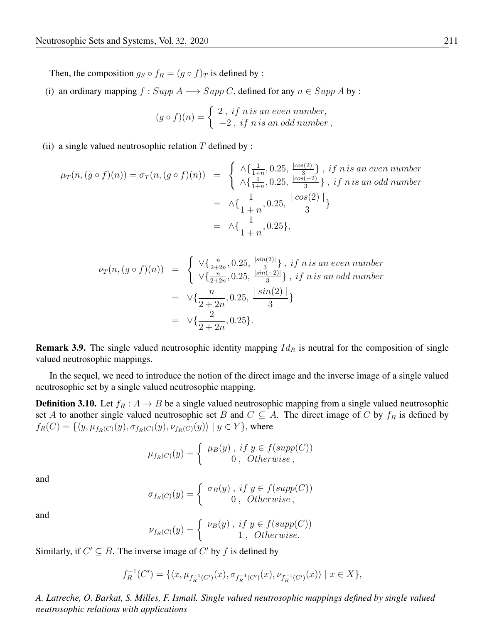Then, the composition  $g_S \circ f_R = (g \circ f)_T$  is defined by :

(i) an ordinary mapping  $f : Supp A \longrightarrow Supp C$ , defined for any  $n \in Supp A$  by :

$$
(g \circ f)(n) = \begin{cases} 2, & if n is an even number, \\ -2, & if n is an odd number, \end{cases}
$$

#### (ii) a single valued neutrosophic relation  $T$  defined by :

$$
\mu_T(n, (g \circ f)(n)) = \sigma_T(n, (g \circ f)(n)) = \begin{cases} \wedge \{\frac{1}{1+n}, 0.25, \frac{|cos(2)|}{3}\}, & \text{if } n \text{ is an even number} \\ \wedge \{\frac{1}{1+n}, 0.25, \frac{|cos(-2)|}{3}\}, & \text{if } n \text{ is an odd number} \end{cases}
$$

$$
= \wedge \{\frac{1}{1+n}, 0.25, \frac{|cos(2)|}{3}\}
$$

$$
= \wedge \{\frac{1}{1+n}, 0.25\},
$$

$$
\nu_T(n, (g \circ f)(n)) = \begin{cases} \n\sqrt{\frac{n}{2+2n}}, 0.25, \frac{|sin(2)|}{3}, & if n is an even number \n\sqrt{\frac{n}{2+2n}}, 0.25, \frac{|sin(-2)|}{3}, & if n is an odd number \n\end{cases}
$$
\n
$$
= \sqrt{\frac{n}{2+2n}}, 0.25, \frac{|sin(2)|}{3}
$$
\n
$$
= \sqrt{\frac{2}{2+2n}}, 0.25 \}.
$$

**Remark 3.9.** The single valued neutrosophic identity mapping  $Id_R$  is neutral for the composition of single valued neutrosophic mappings.

In the sequel, we need to introduce the notion of the direct image and the inverse image of a single valued neutrosophic set by a single valued neutrosophic mapping.

<span id="page-8-0"></span>**Definition 3.10.** Let  $f_R : A \to B$  be a single valued neutrosophic mapping from a single valued neutrosophic set A to another single valued neutrosophic set B and  $C \subseteq A$ . The direct image of C by  $f_R$  is defined by  $f_R(C) = \{ \langle y, \mu_{f_R(C)}(y), \sigma_{f_R(C)}(y), \nu_{f_R(C)}(y) \rangle \mid y \in Y \}$ , where

$$
\mu_{f_R(C)}(y) = \begin{cases} \mu_B(y), & if \ y \in f(supp(C)) \\ 0, & Otherwise, \end{cases}
$$

and

$$
\sigma_{f_R(C)}(y) = \begin{cases} \sigma_B(y), \; if \; y \in f(supp(C)) \\ 0, \; Otherwise, \end{cases}
$$

and

$$
\nu_{f_R(C)}(y) = \begin{cases} \nu_B(y), & \text{if } y \in f(supp(C)) \\ 1, & \text{Otherwise.} \end{cases}
$$

Similarly, if  $C' \subseteq B$ . The inverse image of  $C'$  by f is defined by

$$
f_R^{-1}(C') = \{ \langle x, \mu_{f_R^{-1}(C')}(x), \sigma_{f_R^{-1}(C')}(x), \nu_{f_R^{-1}(C')}(x) \rangle \mid x \in X \},\
$$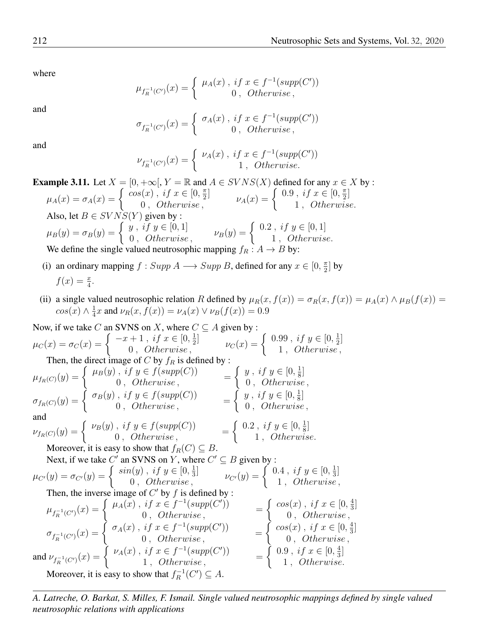where

$$
\mu_{f_R^{-1}(C')}(x) = \begin{cases} \mu_A(x), \; if \; x \in f^{-1}(supp(C')) \\ 0, \; Otherwise \, , \end{cases}
$$

and

$$
\sigma_{f_R^{-1}(C')}(x) = \begin{cases} \sigma_A(x), \text{ if } x \in f^{-1}(\text{supp}(C'))\\ 0, \text{ Otherwise,} \end{cases}
$$

and

$$
\nu_{f_R^{-1}(C')}(x) = \begin{cases} \nu_A(x) \ , \ if \ x \in f^{-1}(supp(C')) \\ 1 \ , \ \ Otherwise. \end{cases}
$$

**Example 3.11.** Let  $X = \{0, +\infty\}$ ,  $Y = \mathbb{R}$  and  $A \in SVNS(X)$  defined for any  $x \in X$  by :  $\mu_A(x) = \sigma_A(x) =$  $\begin{cases} \cos(x) , & if \ x \in [0, \frac{\pi}{2}] \\ 0 , & Otherwise, \end{cases} \qquad \qquad \nu_A(x) =$  $\left[0.9 \, , \, \text{if} \, x \in \left[0, \frac{\pi}{2}\right] \right]$ 1 , Otherwise. Also, let  $B \in SVNS(Y)$  given by :  $\mu_B(y)=\sigma_B(y)=$  $\int y$ , if  $y \in [0,1]$  $\begin{aligned} \n\mathcal{L} \ni y, \quad \mathcal{L} \ni y \in [0, 1], \\
0, \quad \text{Otherwise}, \quad v_B(y) = \n\end{aligned}$  $\int 0.2$ , if  $y \in [0,1]$ 1 , Otherwise. We define the single valued neutrosophic mapping  $f_R : A \to B$  by:

- (i) an ordinary mapping  $f : Supp A \longrightarrow Supp B$ , defined for any  $x \in [0, \frac{\pi}{2}]$  by  $f(x) = \frac{x}{4}.$
- (ii) a single valued neutrosophic relation R defined by  $\mu_R(x, f(x)) = \sigma_R(x, f(x)) = \mu_A(x) \wedge \mu_B(f(x)) =$  $cos(x) \wedge \frac{1}{4}x$  and  $\nu_R(x, f(x)) = \nu_A(x) \vee \nu_B(f(x)) = 0.9$

Now, if we take C an SVMS on X, where 
$$
C \subseteq A
$$
 given by:  
\n
$$
\mu_C(x) = \sigma_C(x) = \begin{cases}\n-x + 1, if x \in [0, \frac{1}{2}] & \nu_C(x) = \begin{cases}\n0.99, if y \in [0, \frac{1}{2}] \\
1, Otherwise, \\
1, Otherwise, \\
\mu_{fR(C)}(y) = \begin{cases}\n\mu_B(y), if y \in f(supp(C)) \\
0, Otherwise, \\
0, Otherwise, \\
0, Otherwise, \\
0, Otherwise, \\
\mu_{fR(C)}(y) = \begin{cases}\n\sigma_B(y), if y \in f(supp(C)) \\
0, Otherwise, \\
0, Otherwise, \\
0, Otherwise, \\
0, Otherwise, \\
\mu_{GD}(y) = \begin{cases}\n\nu_B(y), if y \in f(supp(C)) \\
0, Otherwise, \\
0, Otherwise, \\
0, Otherwise, \\
0, Otherwise, \\
0, Otherwise, \\
\mu_{GV}(y) = \begin{cases}\n\nu_B(y), if y \in f(supp(C)) \\
0, Otherwise, \\
0, Otherwise, \\
0, Otherwise, \\
0, otherwise, \\
0, otherwise, \\
0, otherwise, \\
\mu_{GV}(y) = \sigma_{GV}(y) = \begin{cases}\nsin(y), if y \in [0, \frac{1}{3}] \\
0, otherwise, \\
0, otherwise, \\
0, Otherwise, \\
0, Otherwise, \\
\mu_{f_R^{-1}(C')}(x) = \begin{cases}\n\mu_A(x), if x \in f^{-1}(supp(C')) \\
0, Otherwise, \\
0, Otherwise, \\
0, Otherwise, \\
0, Otherwise, \\
\sigma_{f_R^{-1}(C')}(x) = \begin{cases}\n\sigma_A(x), if x \in f^{-1}(supp(C')) \\
0, Otherwise, \\
0, Otherwise, \\
1, Otherwise, \\
1, Otherwise, \\
\sigma_{f_R^{-1}(C')}(x) = \begin{cases}\n\nu_A(x), if x \in f^{-1}(supp(C')) \\
0, Otherwise, \\
1, Otherwise, \\
1, Otherwise, \\
\end{cases}\n\end{cases} = \begin{cases}\n\cos(x), if x \in [0, \frac{4}{3}]\n\end{cases} = \begin{cases}\n\cos(x), if x \in [0, \frac{4}{3}]\n\end{cases} = \begin{cases}\n\cos(x), if x \in [0, \frac{4}{3}]\n\end{cases} = \begin{cases}\n\cos(x), if x \in [0, \frac{4}{3}]\n\end{cases} = \begin{cases}\n\cos(x), if x \in [0, \frac{4}{3}]\n\end{cases} = \begin{cases}\n\cos(x), if x \in [0, \frac{4}{3}]\n\end{cases
$$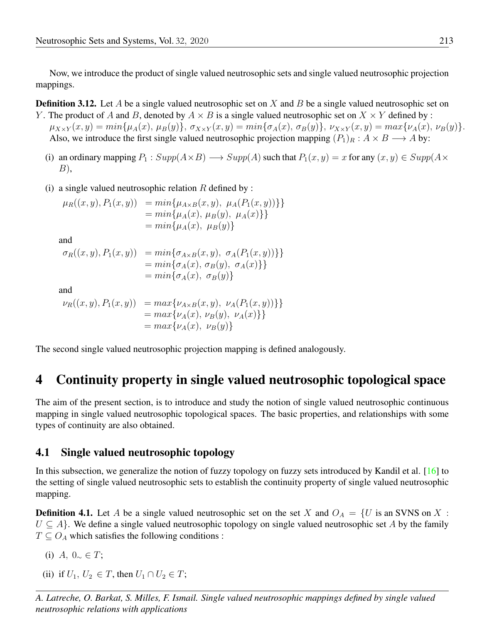Now, we introduce the product of single valued neutrosophic sets and single valued neutrosophic projection mappings.

**Definition 3.12.** Let A be a single valued neutrosophic set on X and B be a single valued neutrosophic set on

- Y. The product of A and B, denoted by  $A \times B$  is a single valued neutrosophic set on  $X \times Y$  defined by :  $\mu_{X\times Y}(x,y) = min{\mu_A(x), \mu_B(y)}, \sigma_{X\times Y}(x,y) = min{\sigma_A(x), \sigma_B(y)}, \nu_{X\times Y}(x,y) = max{\nu_A(x), \nu_B(y)}.$ Also, we introduce the first single valued neutrosophic projection mapping  $(P_1)_R : A \times B \longrightarrow A$  by:
	- (i) an ordinary mapping  $P_1$  :  $Supp(A \times B) \longrightarrow Supp(A)$  such that  $P_1(x, y) = x$  for any  $(x, y) \in Supp(A \times B)$ B),
	- (i) a single valued neutrosophic relation  $R$  defined by :

$$
\mu_R((x, y), P_1(x, y)) = \min\{\mu_{A \times B}(x, y), \mu_A(P_1(x, y))\}\}\n= \min\{\mu_A(x), \mu_B(y), \mu_A(x)\}\}\n= \min\{\mu_A(x), \mu_B(y)\}
$$

and

$$
\sigma_R((x, y), P_1(x, y)) = \min{\{\sigma_{A \times B}(x, y), \sigma_A(P_1(x, y))\}\}= \min{\{\sigma_A(x), \sigma_B(y), \sigma_A(x)\}\}= \min{\{\sigma_A(x), \sigma_B(y)\}}
$$

and

$$
\nu_R((x, y), P_1(x, y)) = \max\{\nu_{A \times B}(x, y), \nu_A(P_1(x, y))\}\}= \max\{\nu_A(x), \nu_B(y), \nu_A(x)\}\}= \max\{\nu_A(x), \nu_B(y)\}
$$

The second single valued neutrosophic projection mapping is defined analogously.

# 4 Continuity property in single valued neutrosophic topological space

The aim of the present section, is to introduce and study the notion of single valued neutrosophic continuous mapping in single valued neutrosophic topological spaces. The basic properties, and relationships with some types of continuity are also obtained.

### 4.1 Single valued neutrosophic topology

In this subsection, we generalize the notion of fuzzy topology on fuzzy sets introduced by Kandil et al. [\[16\]](#page-16-17) to the setting of single valued neutrosophic sets to establish the continuity property of single valued neutrosophic mapping.

**Definition 4.1.** Let A be a single valued neutrosophic set on the set X and  $O_A = \{U$  is an SVNS on X:  $U \subseteq A$ . We define a single valued neutrosophic topology on single valued neutrosophic set A by the family  $T \subseteq O_A$  which satisfies the following conditions :

- (i) A,  $0_{\sim} \in T$ ;
- (ii) if  $U_1, U_2 \in T$ , then  $U_1 \cap U_2 \in T$ ;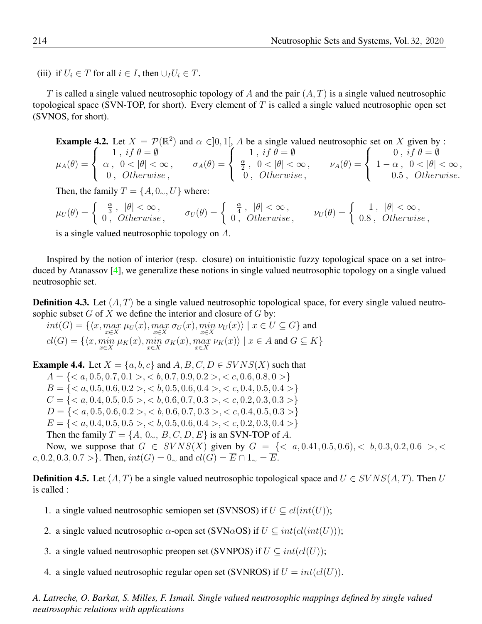(iii) if  $U_i \in T$  for all  $i \in I$ , then  $\cup_I U_i \in T$ .

T is called a single valued neutrosophic topology of A and the pair  $(A, T)$  is a single valued neutrosophic topological space (SVN-TOP, for short). Every element of  $T$  is called a single valued neutrosophic open set (SVNOS, for short).

**Example 4.2.** Let 
$$
X = \mathcal{P}(\mathbb{R}^2)
$$
 and  $\alpha \in ]0, 1[$ , *A* be a single valued neutrosophic set on *X* given by :  
\n
$$
\mu_A(\theta) = \begin{cases}\n1, & if \theta = \emptyset \\
\alpha, & 0 < |\theta| < \infty \\
0, & Otherwise,\n\end{cases}
$$
\n
$$
\sigma_A(\theta) = \begin{cases}\n1, & if \theta = \emptyset \\
\frac{\alpha}{2}, & 0 < |\theta| < \infty \\
0, & Otherwise,\n\end{cases}
$$
\n
$$
\nu_A(\theta) = \begin{cases}\n0, & if \theta = \emptyset \\
1 - \alpha, & 0 < |\theta| < \infty \\
0.5, & Otherwise.\n\end{cases}
$$

Then, the family  $T = \{A, 0_\sim, U\}$  where:

$$
\mu_U(\theta) = \begin{cases} \frac{\alpha}{3}, & |\theta| < \infty, \\ 0, & Otherwise, \end{cases} \qquad \sigma_U(\theta) = \begin{cases} \frac{\alpha}{4}, & |\theta| < \infty, \\ 0, & Otherwise, \end{cases} \qquad \nu_U(\theta) = \begin{cases} 1, & |\theta| < \infty, \\ 0.8, & Otherwise, \end{cases}
$$

is a single valued neutrosophic topology on A.

Inspired by the notion of interior (resp. closure) on intuitionistic fuzzy topological space on a set introduced by Atanassov [\[4\]](#page-15-10), we generalize these notions in single valued neutrosophic topology on a single valued neutrosophic set.

**Definition 4.3.** Let  $(A, T)$  be a single valued neutrosophic topological space, for every single valued neutrosophic subset  $G$  of  $X$  we define the interior and closure of  $G$  by:

 $int(G) = \{ \langle x, \max_{x \in X} \mu_U(x), \max_{x \in X} \sigma_U(x), \min_{x \in X} \nu_U(x) \rangle \mid x \in U \subseteq G \}$  and  $cl(G) = \{ \langle x, \min_{x \in X} \mu_K(x), \min_{x \in X} \sigma_K(x), \max_{x \in X} \nu_K(x) \rangle \mid x \in A \text{ and } G \subseteq K \}$ 

**Example 4.4.** Let  $X = \{a, b, c\}$  and  $A, B, C, D \in SVNS(X)$  such that  $A = \{, **b**, 0.7, 0.9, 0.2>, **c**, 0.6, 0.8, 0>\}$  $B = \{, **b**, 0.5, 0.6, 0.4>, **c**, 0.4, 0.5, 0.4>\}$  $C = \{ , **b**, 0.6, 0.7, 0.3>, **c**, 0.2, 0.3, 0.3> \}$  $D = \{, **b**, 0.6, 0.7, 0.3>, **c**, 0.4, 0.5, 0.3>\}$  $E = \{, **b**, 0.5, 0.6, 0.4>, **c**, 0.2, 0.3, 0.4>\}$ Then the family  $T = \{A, 0_{\sim}, B, C, D, E\}$  is an SVN-TOP of A.

Now, we suppose that  $G \in SVNS(X)$  given by  $G = \{< a, 0.41, 0.5, 0.6\}, < b, 0.3, 0.2, 0.6>, **.**$ c, 0.2, 0.3, 0.7 >}. Then,  $int(G) = 0_{\sim}$  and  $cl(G) = \overline{E} \cap 1_{\sim} = \overline{E}$ .

**Definition 4.5.** Let  $(A, T)$  be a single valued neutrosophic topological space and  $U \in SVNS(A, T)$ . Then U is called :

- 1. a single valued neutrosophic semiopen set (SVNSOS) if  $U \subseteq cl(int(U));$
- 2. a single valued neutrosophic  $\alpha$ -open set (SVN $\alpha$ OS) if  $U \subseteq int(cl(int(U)))$ ;
- 3. a single valued neutrosophic preopen set (SVNPOS) if  $U \subseteq int(cl(U));$
- 4. a single valued neutrosophic regular open set (SVNROS) if  $U = int(cl(U))$ .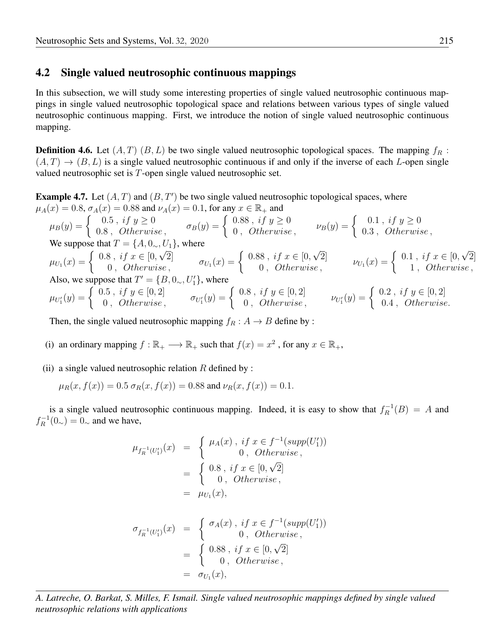### 4.2 Single valued neutrosophic continuous mappings

In this subsection, we will study some interesting properties of single valued neutrosophic continuous mappings in single valued neutrosophic topological space and relations between various types of single valued neutrosophic continuous mapping. First, we introduce the notion of single valued neutrosophic continuous mapping.

**Definition 4.6.** Let  $(A, T)$   $(B, L)$  be two single valued neutrosophic topological spaces. The mapping  $f_R$ :  $(A, T) \rightarrow (B, L)$  is a single valued neutrosophic continuous if and only if the inverse of each L-open single valued neutrosophic set is T-open single valued neutrosophic set.

<span id="page-12-0"></span>**Example 4.7.** Let  $(A, T)$  and  $(B, T')$  be two single valued neutrosophic topological spaces, where  $\mu_A(x) = 0.8$ ,  $\sigma_A(x) = 0.88$  and  $\nu_A(x) = 0.1$ , for any  $x \in \mathbb{R}_+$  and

$$
\mu_B(y) = \begin{cases}\n0.5, if y \ge 0 \\
0.8, Otherwise, \\
0.8, Otherwise, \\
0.9, Otherwise, \\
0.1, if y \ge 0\n\end{cases}
$$
\n
$$
\nu_B(y) = \begin{cases}\n0.1, if y \ge 0 \\
0.3, Otherwise, \\
0.3, Otherwise, \\
0.4, Otherwise, \\
0.5, if x \in [0, \sqrt{2}] \\
0, Otherwise, \\
0.6, we suppose that  $T' = \{B, 0_\sim, U'_1\}$ , where\n\end{cases}
$$
\n
$$
\sigma_{U_1}(x) = \begin{cases}\n0.88, if x \ge 0 \\
0.88, if x \in [0, \sqrt{2}] \\
0, Otherwise, \\
0, Otherwise, \\
0, Otherwise, \\
0, Otherwise, \\
0, Otherwise, \\
0, Otherwise, \\
0, otherwise, \\
0\end{cases}
$$
\n
$$
\nu_{U_1}(x) = \begin{cases}\n0.1, if y \ge 0 \\
0.3, Otherwise, \\
0.3, Otherwise, \\
0.4, Otherwise, \\
1, Otherwise, \\
0.4, Otherwise, \\
0.5, if y \in [0, 2]\n\end{cases}
$$

Then, the single valued neutrosophic mapping  $f_R : A \rightarrow B$  define by :

(i) an ordinary mapping  $f : \mathbb{R}_+ \longrightarrow \mathbb{R}_+$  such that  $f(x) = x^2$ , for any  $x \in \mathbb{R}_+$ ,

(ii) a single valued neutrosophic relation  $R$  defined by :

$$
\mu_R(x, f(x)) = 0.5 \sigma_R(x, f(x)) = 0.88
$$
 and  $\nu_R(x, f(x)) = 0.1$ .

is a single valued neutrosophic continuous mapping. Indeed, it is easy to show that  $f_R^{-1}(B) = A$  and  $f_R^{-1}(0_\sim) = 0_\sim$  and we have,

$$
\mu_{f_R^{-1}(U'_1)}(x) = \begin{cases} \mu_A(x), \text{ if } x \in f^{-1}(supp(U'_1)) \\ 0, \text{ Otherwise,} \end{cases}
$$
  
= 
$$
\begin{cases} 0.8, \text{ if } x \in [0, \sqrt{2}] \\ 0, \text{ Otherwise,} \end{cases}
$$
  
= 
$$
\mu_{U_1}(x),
$$
  

$$
\sigma_{f_R^{-1}(U'_1)}(x) = \begin{cases} \sigma_A(x), \text{ if } x \in f^{-1}(supp(U'_1)) \\ 0, \text{ Otherwise,} \end{cases}
$$
  
= 
$$
\begin{cases} 0.88, \text{ if } x \in [0, \sqrt{2}] \\ 0, \text{ Otherwise,} \end{cases}
$$
  
= 
$$
\sigma_{U_1}(x),
$$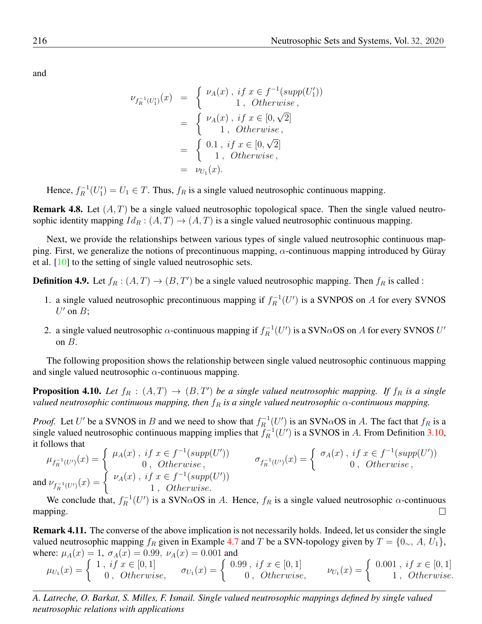and

$$
\nu_{f_R^{-1}(U_1')}(x) = \begin{cases} \nu_A(x), \text{ if } x \in f^{-1}(supp(U_1')) \\ 1, \text{ Otherwise,} \end{cases}
$$
  
= 
$$
\begin{cases} \nu_A(x), \text{ if } x \in [0, \sqrt{2}] \\ 1, \text{ Otherwise,} \end{cases}
$$
  
= 
$$
\begin{cases} 0.1, \text{ if } x \in [0, \sqrt{2}] \\ 1, \text{ Otherwise,} \end{cases}
$$
  
= 
$$
\nu_{U_1}(x).
$$

Hence,  $f_R^{-1}(U_1') = U_1 \in T$ . Thus,  $f_R$  is a single valued neutrosophic continuous mapping.

**Remark 4.8.** Let  $(A, T)$  be a single valued neutrosophic topological space. Then the single valued neutrosophic identity mapping  $Id_R : (A, T) \to (A, T)$  is a single valued neutrosophic continuous mapping.

ping. First, we generalize the notions of precontinuous mapping,  $\alpha$ -continuous mapping introduced by Güray Next, we provide the relationships between various types of single valued neutrosophic continuous mapet al. [\[10\]](#page-15-11) to the setting of single valued neutrosophic sets.

**Definition 4.9.** Let  $f_R : (A, T) \to (B, T')$  be a single valued neutrosophic mapping. Then  $f_R$  is called :

- 1. a single valued neutrosophic precontinuous mapping if  $f_R^{-1}(U')$  is a SVNPOS on A for every SVNOS  $U'$  on  $B$ ;
- 2. a single valued neutrosophic  $\alpha$ -continuous mapping if  $f_R^{-1}(U')$  is a SVN $\alpha$ OS on A for every SVNOS  $U'$ on  $B$ .

The following proposition shows the relationship between single valued neutrosophic continuous mapping and single valued neutrosophic  $\alpha$ -continuous mapping.

**Proposition 4.10.** Let  $f_R : (A, T) \to (B, T')$  be a single valued neutrosophic mapping. If  $f_R$  is a single *valued neutrosophic continuous mapping, then*  $f_R$  *is a single valued neutrosophic*  $\alpha$ -continuous *mapping.* 

*Proof.* Let U' be a SVNOS in B and we need to show that  $f_R^{-1}(U')$  is an SVN $\alpha$ OS in A. The fact that  $f_R$  is a single valued neutrosophic continuous mapping implies that  $f_R^{-1}(U')$  is a SVNOS in A. From Definition [3.10,](#page-8-0) it follows that

$$
\mu_{f_R^{-1}(U')}(x) = \begin{cases} \mu_A(x), & \text{if } x \in f^{-1}(supp(U')) \\ 0, & \text{Otherwise} \\ \nu_A(x), & \text{if } x \in f^{-1}(supp(U')) \end{cases} \qquad \sigma_{f_R^{-1}(U')}(x) = \begin{cases} \sigma_A(x), & \text{if } x \in f^{-1}(supp(U')) \\ 0, & \text{Otherwise} \\ 0, & \text{otherwise} \end{cases}
$$
  
and  $\nu_{f_R^{-1}(U')}(x) = \begin{cases} \nu_A(x), & \text{if } x \in f^{-1}(supp(U')) \\ 1, & \text{Otherwise} \end{cases}$ 

We conclude that,  $f_R^{-1}(U')$  is a SVN $\alpha$ OS in A. Hence,  $f_R$  is a single valued neutrosophic  $\alpha$ -continuous mapping.  $\Box$ 

Remark 4.11. The converse of the above implication is not necessarily holds. Indeed, let us consider the single valued neutrosophic mapping  $f_R$  given in Example [4.7](#page-12-0) and T be a SVN-topology given by  $T = \{0_\sim, A, U_1\},\$ where:  $\mu_A(x) = 1$ ,  $\sigma_A(x) = 0.99$ ,  $\nu_A(x) = 0.001$  and

$$
\mu_{U_1}(x) = \begin{cases} 1, & if \ x \in [0,1] \\ 0, & Otherwise, \end{cases} \quad \sigma_{U_1}(x) = \begin{cases} 0.99, & if \ x \in [0,1] \\ 0, & Otherwise, \end{cases} \quad \nu_{U_1}(x) = \begin{cases} 0.001, & if \ x \in [0,1] \\ 1, & Otherwise. \end{cases}
$$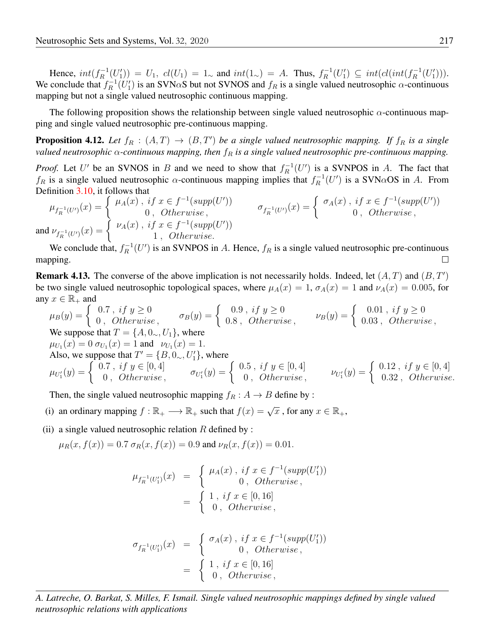Hence,  $int(f_R^{-1}(U'_1)) = U_1$ ,  $cl(U_1) = 1$ , and  $int(1) > A$ . Thus,  $f_R^{-1}(U'_1) \subseteq int(cl(int(f_R^{-1}(U'_1)))$ . We conclude that  $f_R^{-1}(U_1')$  is an SVN $\alpha$ S but not SVNOS and  $f_R$  is a single valued neutrosophic  $\alpha$ -continuous mapping but not a single valued neutrosophic continuous mapping.

The following proposition shows the relationship between single valued neutrosophic  $\alpha$ -continuous mapping and single valued neutrosophic pre-continuous mapping.

**Proposition 4.12.** Let  $f_R : (A, T) \to (B, T')$  be a single valued neutrosophic mapping. If  $f_R$  is a single *valued neutrosophic* α*-continuous mapping, then* f<sup>R</sup> *is a single valued neutrosophic pre-continuous mapping.*

*Proof.* Let U' be an SVNOS in B and we need to show that  $f_R^{-1}(U')$  is a SVNPOS in A. The fact that  $f_R$  is a single valued neutrosophic  $\alpha$ -continuous mapping implies that  $f_R^{-1}(U')$  is a SVN $\alpha$ OS in A. From Definition [3.10,](#page-8-0) it follows that

$$
\mu_{f_R^{-1}(U')}(x) = \begin{cases} \mu_A(x), \ if \ x \in f^{-1}(supp(U')) \\ 0, \ \ \text{Otherwise} \\ \end{cases} \quad \sigma_{f_R^{-1}(U')}(x) = \begin{cases} \sigma_A(x), \ if \ x \in f^{-1}(supp(U')) \\ 0, \ \ \text{Otherwise} \\ \end{cases}
$$
\n
$$
\text{and } \nu_{f_R^{-1}(U')}(x) = \begin{cases} \nu_A(x), \ if \ x \in f^{-1}(supp(U')) \\ 1, \ \ \text{Otherwise} \end{cases}
$$

We conclude that,  $f_R^{-1}(U')$  is an SVNPOS in A. Hence,  $f_R$  is a single valued neutrosophic pre-continuous mapping.  $\Box$ 

**Remark 4.13.** The converse of the above implication is not necessarily holds. Indeed, let  $(A, T)$  and  $(B, T')$ be two single valued neutrosophic topological spaces, where  $\mu_A(x) = 1$ ,  $\sigma_A(x) = 1$  and  $\nu_A(x) = 0.005$ , for any  $x \in \mathbb{R}_+$  and

$$
\mu_B(y) = \begin{cases}\n0.7, & if y \ge 0 \\
0, & Otherwise, \\
0.8, & Otherwise, \\
\mu_{U_1}(x) = 0 \sigma_{U_1}(x) = 1 \text{ and } \nu_{U_1}(x) = 1.\n\end{cases}
$$
\nWe suppose that  $T = \{A, 0_{\sim}, U_1\}$ , where\n
$$
\mu_{U_1}(x) = 0 \sigma_{U_1}(x) = 1 \text{ and } \nu_{U_1}(x) = 1.
$$
\nAlso, we suppose that  $T' = \{B, 0_{\sim}, U'_1\}$ , where\n
$$
\mu_{U'_1}(y) = \begin{cases}\n0.7, & if y \in [0, 4] \\
0, & Otherwise, \\
0, & Otherwise, \\
\end{cases}
$$
\n
$$
\sigma_{U'_1}(y) = \begin{cases}\n0.5, & if y \in [0, 4] \\
0, & Otherwise, \\
0, & Otherwise, \\
\end{cases}
$$
\n
$$
\nu_{U'_1}(y) = \begin{cases}\n0.12, & if y \in [0, 4] \\
0.32, & Otherwise.\n\end{cases}
$$

Then, the single valued neutrosophic mapping  $f_R : A \rightarrow B$  define by :

- (i) an ordinary mapping  $f : \mathbb{R}_+ \longrightarrow \mathbb{R}_+$  such that  $f(x) = \sqrt{x}$ , for any  $x \in \mathbb{R}_+$ ,
- (ii) a single valued neutrosophic relation  $R$  defined by :

 $\mu_R(x, f(x)) = 0.7 \sigma_R(x, f(x)) = 0.9$  and  $\nu_R(x, f(x)) = 0.01$ .

$$
\mu_{f_R^{-1}(U'_1)}(x) = \begin{cases} \mu_A(x), & if \ x \in f^{-1}(supp(U'_1)) \\ 0, & Otherwise, \end{cases}
$$
  
= 
$$
\begin{cases} 1, & if \ x \in [0, 16] \\ 0, & Otherwise, \end{cases}
$$

$$
\sigma_{f_R^{-1}(U_1')}(x) = \begin{cases} \sigma_A(x), \; if \; x \in f^{-1}(supp(U_1')) \\ 0, \; Otherwise, \\ 0, \; Otherwise, \end{cases}
$$
  
= 
$$
\begin{cases} 1, \; if \; x \in [0, 16] \\ 0, \; Otherwise, \end{cases}
$$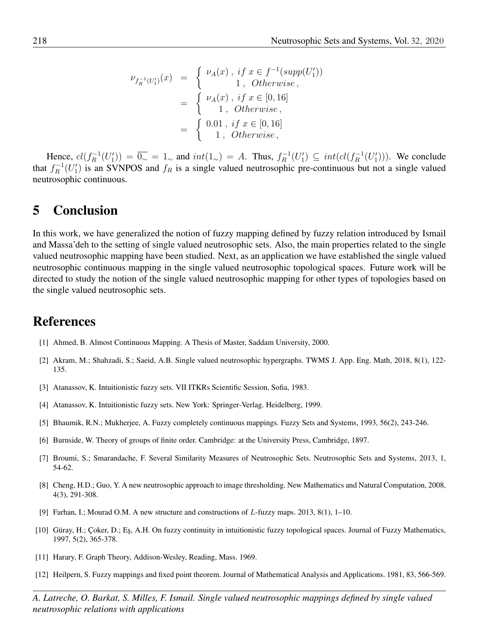$$
\nu_{f_R^{-1}(U_1')}(x) = \begin{cases} \nu_A(x), \text{ if } x \in f^{-1}(supp(U_1')) \\ 1, \text{ Otherwise,} \end{cases}
$$
  
= 
$$
\begin{cases} \nu_A(x), \text{ if } x \in [0, 16] \\ 1, \text{ Otherwise,} \end{cases}
$$
  
= 
$$
\begin{cases} 0.01, \text{ if } x \in [0, 16] \\ 1, \text{ Otherwise,} \end{cases}
$$

Hence,  $cl(f_R^{-1}(U_1')) = \overline{0 \rightharpoonup} = 1 \rightharpoonup$  and  $int(1 \rightharpoonup) = A$ . Thus,  $f_R^{-1}(U_1') \subseteq int(cl(f_R^{-1}(U_1')))$ . We conclude that  $f_R^{-1}(U_1')$  is an SVNPOS and  $f_R$  is a single valued neutrosophic pre-continuous but not a single valued neutrosophic continuous.

## 5 Conclusion

In this work, we have generalized the notion of fuzzy mapping defined by fuzzy relation introduced by Ismail and Massa'deh to the setting of single valued neutrosophic sets. Also, the main properties related to the single valued neutrosophic mapping have been studied. Next, as an application we have established the single valued neutrosophic continuous mapping in the single valued neutrosophic topological spaces. Future work will be directed to study the notion of the single valued neutrosophic mapping for other types of topologies based on the single valued neutrosophic sets.

## References

- <span id="page-15-5"></span>[1] Ahmed, B. Almost Continuous Mapping. A Thesis of Master, Saddam University, 2000.
- <span id="page-15-8"></span>[2] Akram, M.; Shahzadi, S.; Saeid, A.B. Single valued neutrosophic hypergraphs. TWMS J. App. Eng. Math, 2018, 8(1), 122- 135.
- <span id="page-15-6"></span>[3] Atanassov, K. Intuitionistic fuzzy sets. VII ITKRs Scientific Session, Sofia, 1983.
- <span id="page-15-10"></span>[4] Atanassov, K. Intuitionistic fuzzy sets. New York: Springer-Verlag. Heidelberg, 1999.
- <span id="page-15-4"></span>[5] Bhaumik, R.N.; Mukherjee, A. Fuzzy completely continuous mappings. Fuzzy Sets and Systems, 1993, 56(2), 243-246.
- <span id="page-15-1"></span>[6] Burnside, W. Theory of groups of finite order. Cambridge: at the University Press, Cambridge, 1897.
- <span id="page-15-9"></span>[7] Broumi, S.; Smarandache, F. Several Similarity Measures of Neutrosophic Sets. Neutrosophic Sets and Systems, 2013, 1, 54-62.
- <span id="page-15-7"></span>[8] Cheng, H.D.; Guo, Y. A new neutrosophic approach to image thresholding. New Mathematics and Natural Computation, 2008, 4(3), 291-308.
- <span id="page-15-3"></span>[9] Farhan, I.; Mourad O.M. A new structure and constructions of L-fuzzy maps. 2013, 8(1), 1–10.
- <span id="page-15-11"></span>[10] Güray, H.; Çoker, D.; Eş, A.H. On fuzzy continuity in intuitionistic fuzzy topological spaces. Journal of Fuzzy Mathematics, 1997, 5(2), 365-378.
- <span id="page-15-0"></span>[11] Harary, F. Graph Theory, Addison-Wesley, Reading, Mass. 1969.
- <span id="page-15-2"></span>[12] Heilpern, S. Fuzzy mappings and fixed point theorem. Journal of Mathematical Analysis and Applications. 1981, 83, 566-569.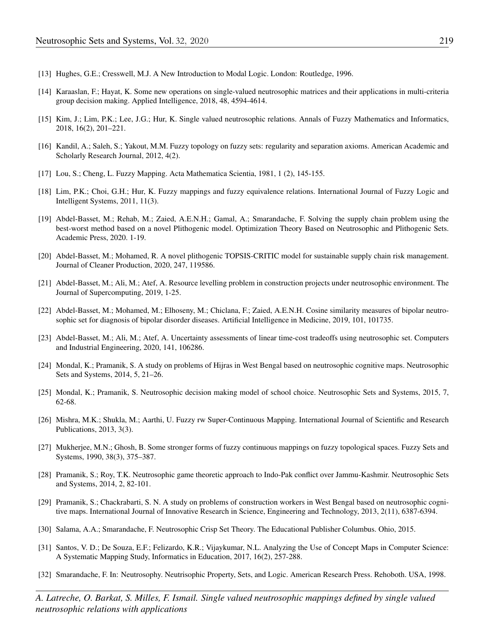- <span id="page-16-0"></span>[13] Hughes, G.E.; Cresswell, M.J. A New Introduction to Modal Logic. London: Routledge, 1996.
- <span id="page-16-16"></span>[14] Karaaslan, F.; Hayat, K. Some new operations on single-valued neutrosophic matrices and their applications in multi-criteria group decision making. Applied Intelligence, 2018, 48, 4594-4614.
- <span id="page-16-15"></span>[15] Kim, J.; Lim, P.K.; Lee, J.G.; Hur, K. Single valued neutrosophic relations. Annals of Fuzzy Mathematics and Informatics, 2018, 16(2), 201–221.
- <span id="page-16-17"></span>[16] Kandil, A.; Saleh, S.; Yakout, M.M. Fuzzy topology on fuzzy sets: regularity and separation axioms. American Academic and Scholarly Research Journal, 2012, 4(2).
- <span id="page-16-2"></span>[17] Lou, S.; Cheng, L. Fuzzy Mapping. Acta Mathematica Scientia, 1981, 1 (2), 145-155.
- <span id="page-16-3"></span>[18] Lim, P.K.; Choi, G.H.; Hur, K. Fuzzy mappings and fuzzy equivalence relations. International Journal of Fuzzy Logic and Intelligent Systems, 2011, 11(3).
- [19] Abdel-Basset, M.; Rehab, M.; Zaied, A.E.N.H.; Gamal, A.; Smarandache, F. Solving the supply chain problem using the best-worst method based on a novel Plithogenic model. Optimization Theory Based on Neutrosophic and Plithogenic Sets. Academic Press, 2020. 1-19.
- <span id="page-16-12"></span>[20] Abdel-Basset, M.; Mohamed, R. A novel plithogenic TOPSIS-CRITIC model for sustainable supply chain risk management. Journal of Cleaner Production, 2020, 247, 119586.
- <span id="page-16-13"></span>[21] Abdel-Basset, M.; Ali, M.; Atef, A. Resource levelling problem in construction projects under neutrosophic environment. The Journal of Supercomputing, 2019, 1-25.
- <span id="page-16-11"></span>[22] Abdel-Basset, M.; Mohamed, M.; Elhoseny, M.; Chiclana, F.; Zaied, A.E.N.H. Cosine similarity measures of bipolar neutrosophic set for diagnosis of bipolar disorder diseases. Artificial Intelligence in Medicine, 2019, 101, 101735.
- <span id="page-16-14"></span>[23] Abdel-Basset, M.; Ali, M.; Atef, A. Uncertainty assessments of linear time-cost tradeoffs using neutrosophic set. Computers and Industrial Engineering, 2020, 141, 106286.
- <span id="page-16-10"></span>[24] Mondal, K.; Pramanik, S. A study on problems of Hijras in West Bengal based on neutrosophic cognitive maps. Neutrosophic Sets and Systems, 2014, 5, 21–26.
- <span id="page-16-7"></span>[25] Mondal, K.; Pramanik, S. Neutrosophic decision making model of school choice. Neutrosophic Sets and Systems, 2015, 7, 62-68.
- <span id="page-16-5"></span>[26] Mishra, M.K.; Shukla, M.; Aarthi, U. Fuzzy rw Super-Continuous Mapping. International Journal of Scientific and Research Publications, 2013, 3(3).
- <span id="page-16-4"></span>[27] Mukherjee, M.N.; Ghosh, B. Some stronger forms of fuzzy continuous mappings on fuzzy topological spaces. Fuzzy Sets and Systems, 1990, 38(3), 375–387.
- <span id="page-16-8"></span>[28] Pramanik, S.; Roy, T.K. Neutrosophic game theoretic approach to Indo-Pak conflict over Jammu-Kashmir. Neutrosophic Sets and Systems, 2014, 2, 82-101.
- <span id="page-16-9"></span>[29] Pramanik, S.; Chackrabarti, S. N. A study on problems of construction workers in West Bengal based on neutrosophic cognitive maps. International Journal of Innovative Research in Science, Engineering and Technology, 2013, 2(11), 6387-6394.
- <span id="page-16-18"></span>[30] Salama, A.A.; Smarandache, F. Neutrosophic Crisp Set Theory. The Educational Publisher Columbus. Ohio, 2015.
- <span id="page-16-1"></span>[31] Santos, V. D.; De Souza, E.F.; Felizardo, K.R.; Vijaykumar, N.L. Analyzing the Use of Concept Maps in Computer Science: A Systematic Mapping Study, Informatics in Education, 2017, 16(2), 257-288.
- <span id="page-16-6"></span>[32] Smarandache, F. In: Neutrosophy. Neutrisophic Property, Sets, and Logic. American Research Press. Rehoboth. USA, 1998.